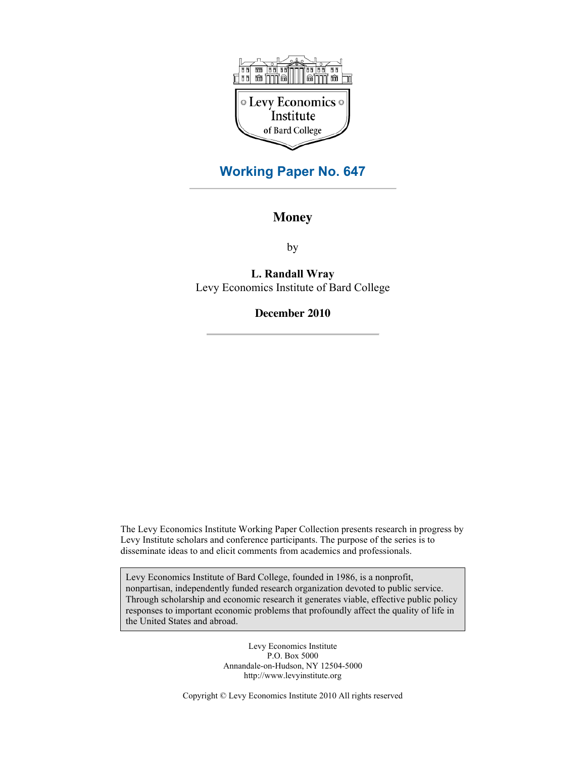

# **Working Paper No. 647**

## **Money**

by

**L. Randall Wray** Levy Economics Institute of Bard College

**December 2010**

The Levy Economics Institute Working Paper Collection presents research in progress by Levy Institute scholars and conference participants. The purpose of the series is to disseminate ideas to and elicit comments from academics and professionals.

Levy Economics Institute of Bard College, founded in 1986, is a nonprofit, nonpartisan, independently funded research organization devoted to public service. Through scholarship and economic research it generates viable, effective public policy responses to important economic problems that profoundly affect the quality of life in the United States and abroad.

> Levy Economics Institute P.O. Box 5000 Annandale-on-Hudson, NY 12504-5000 http://www.levyinstitute.org

Copyright © Levy Economics Institute 2010 All rights reserved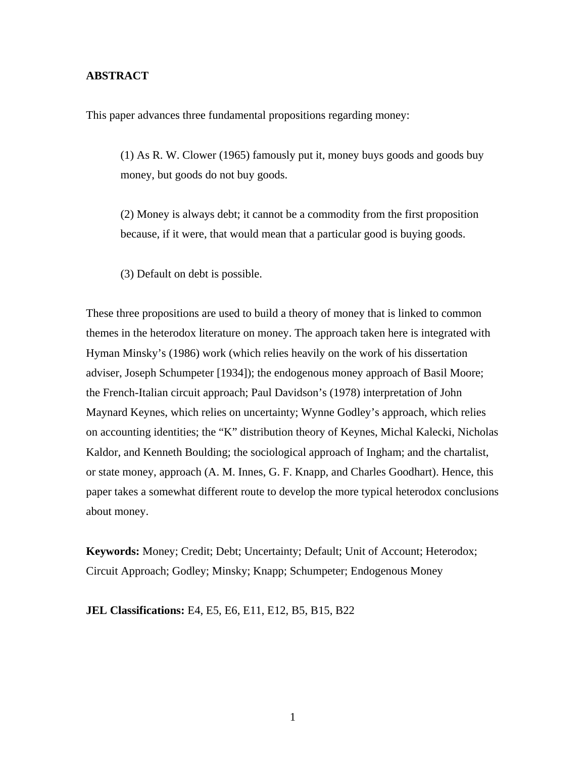## **ABSTRACT**

This paper advances three fundamental propositions regarding money:

(1) As R. W. Clower (1965) famously put it, money buys goods and goods buy money, but goods do not buy goods.

(2) Money is always debt; it cannot be a commodity from the first proposition because, if it were, that would mean that a particular good is buying goods.

(3) Default on debt is possible.

These three propositions are used to build a theory of money that is linked to common themes in the heterodox literature on money. The approach taken here is integrated with Hyman Minsky's (1986) work (which relies heavily on the work of his dissertation adviser, Joseph Schumpeter [1934]); the endogenous money approach of Basil Moore; the French-Italian circuit approach; Paul Davidson's (1978) interpretation of John Maynard Keynes, which relies on uncertainty; Wynne Godley's approach, which relies on accounting identities; the "K" distribution theory of Keynes, Michal Kalecki, Nicholas Kaldor, and Kenneth Boulding; the sociological approach of Ingham; and the chartalist, or state money, approach (A. M. Innes, G. F. Knapp, and Charles Goodhart). Hence, this paper takes a somewhat different route to develop the more typical heterodox conclusions about money.

**Keywords:** Money; Credit; Debt; Uncertainty; Default; Unit of Account; Heterodox; Circuit Approach; Godley; Minsky; Knapp; Schumpeter; Endogenous Money

**JEL Classifications:** E4, E5, E6, E11, E12, B5, B15, B22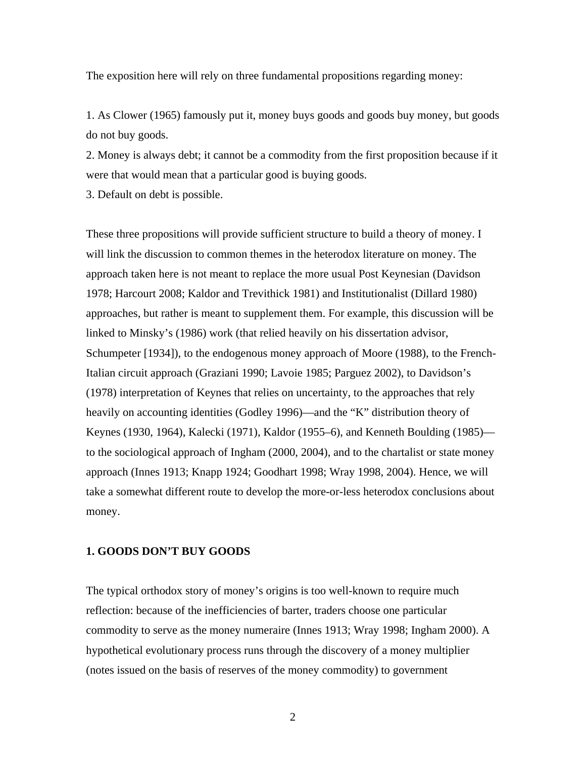The exposition here will rely on three fundamental propositions regarding money:

1. As Clower (1965) famously put it, money buys goods and goods buy money, but goods do not buy goods.

2. Money is always debt; it cannot be a commodity from the first proposition because if it were that would mean that a particular good is buying goods.

3. Default on debt is possible.

These three propositions will provide sufficient structure to build a theory of money. I will link the discussion to common themes in the heterodox literature on money. The approach taken here is not meant to replace the more usual Post Keynesian (Davidson 1978; Harcourt 2008; Kaldor and Trevithick 1981) and Institutionalist (Dillard 1980) approaches, but rather is meant to supplement them. For example, this discussion will be linked to Minsky's (1986) work (that relied heavily on his dissertation advisor, Schumpeter [1934]), to the endogenous money approach of Moore (1988), to the French-Italian circuit approach (Graziani 1990; Lavoie 1985; Parguez 2002), to Davidson's (1978) interpretation of Keynes that relies on uncertainty, to the approaches that rely heavily on accounting identities (Godley 1996)—and the "K" distribution theory of Keynes (1930, 1964), Kalecki (1971), Kaldor (1955–6), and Kenneth Boulding (1985) to the sociological approach of Ingham (2000, 2004), and to the chartalist or state money approach (Innes 1913; Knapp 1924; Goodhart 1998; Wray 1998, 2004). Hence, we will take a somewhat different route to develop the more-or-less heterodox conclusions about money.

#### **1. GOODS DON'T BUY GOODS**

The typical orthodox story of money's origins is too well-known to require much reflection: because of the inefficiencies of barter, traders choose one particular commodity to serve as the money numeraire (Innes 1913; Wray 1998; Ingham 2000). A hypothetical evolutionary process runs through the discovery of a money multiplier (notes issued on the basis of reserves of the money commodity) to government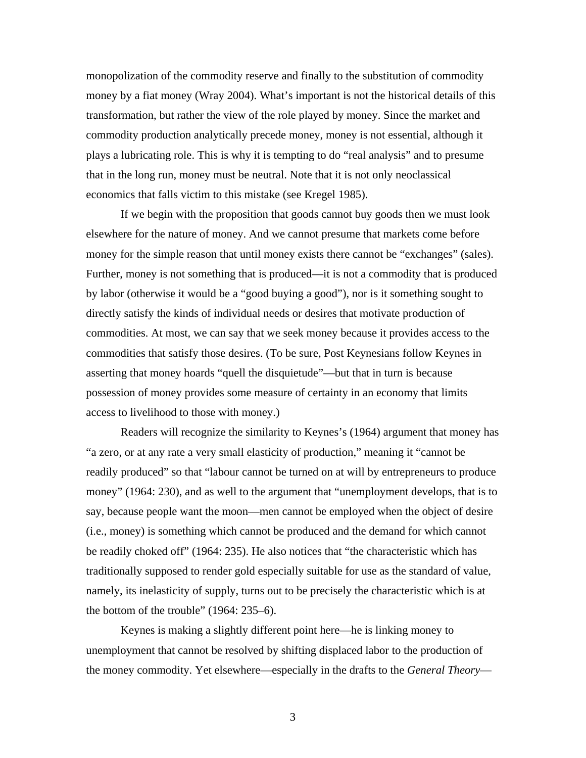monopolization of the commodity reserve and finally to the substitution of commodity money by a fiat money (Wray 2004). What's important is not the historical details of this transformation, but rather the view of the role played by money. Since the market and commodity production analytically precede money, money is not essential, although it plays a lubricating role. This is why it is tempting to do "real analysis" and to presume that in the long run, money must be neutral. Note that it is not only neoclassical economics that falls victim to this mistake (see Kregel 1985).

If we begin with the proposition that goods cannot buy goods then we must look elsewhere for the nature of money. And we cannot presume that markets come before money for the simple reason that until money exists there cannot be "exchanges" (sales). Further, money is not something that is produced—it is not a commodity that is produced by labor (otherwise it would be a "good buying a good"), nor is it something sought to directly satisfy the kinds of individual needs or desires that motivate production of commodities. At most, we can say that we seek money because it provides access to the commodities that satisfy those desires. (To be sure, Post Keynesians follow Keynes in asserting that money hoards "quell the disquietude"—but that in turn is because possession of money provides some measure of certainty in an economy that limits access to livelihood to those with money.)

Readers will recognize the similarity to Keynes's (1964) argument that money has "a zero, or at any rate a very small elasticity of production," meaning it "cannot be readily produced" so that "labour cannot be turned on at will by entrepreneurs to produce money" (1964: 230), and as well to the argument that "unemployment develops, that is to say, because people want the moon—men cannot be employed when the object of desire (i.e., money) is something which cannot be produced and the demand for which cannot be readily choked off" (1964: 235). He also notices that "the characteristic which has traditionally supposed to render gold especially suitable for use as the standard of value, namely, its inelasticity of supply, turns out to be precisely the characteristic which is at the bottom of the trouble" (1964: 235–6).

Keynes is making a slightly different point here—he is linking money to unemployment that cannot be resolved by shifting displaced labor to the production of the money commodity. Yet elsewhere—especially in the drafts to the *General Theory*—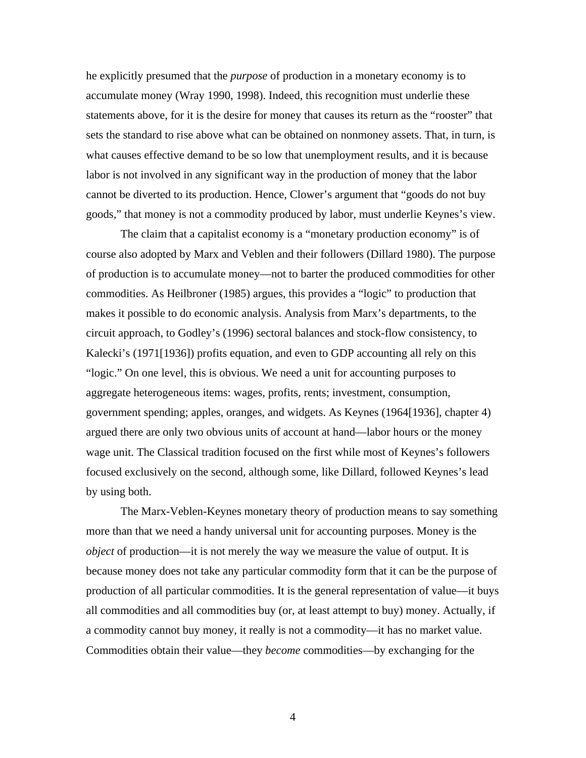he explicitly presumed that the *purpose* of production in a monetary economy is to accumulate money (Wray 1990, 1998). Indeed, this recognition must underlie these statements above, for it is the desire for money that causes its return as the "rooster" that sets the standard to rise above what can be obtained on nonmoney assets. That, in turn, is what causes effective demand to be so low that unemployment results, and it is because labor is not involved in any significant way in the production of money that the labor cannot be diverted to its production. Hence, Clower's argument that "goods do not buy goods," that money is not a commodity produced by labor, must underlie Keynes's view.

The claim that a capitalist economy is a "monetary production economy" is of course also adopted by Marx and Veblen and their followers (Dillard 1980). The purpose of production is to accumulate money—not to barter the produced commodities for other commodities. As Heilbroner (1985) argues, this provides a "logic" to production that makes it possible to do economic analysis. Analysis from Marx's departments, to the circuit approach, to Godley's (1996) sectoral balances and stock-flow consistency, to Kalecki's (1971[1936]) profits equation, and even to GDP accounting all rely on this "logic." On one level, this is obvious. We need a unit for accounting purposes to aggregate heterogeneous items: wages, profits, rents; investment, consumption, government spending; apples, oranges, and widgets. As Keynes (1964[1936], chapter 4) argued there are only two obvious units of account at hand—labor hours or the money wage unit. The Classical tradition focused on the first while most of Keynes's followers focused exclusively on the second, although some, like Dillard, followed Keynes's lead by using both.

The Marx-Veblen-Keynes monetary theory of production means to say something more than that we need a handy universal unit for accounting purposes. Money is the *object* of production—it is not merely the way we measure the value of output. It is because money does not take any particular commodity form that it can be the purpose of production of all particular commodities. It is the general representation of value—it buys all commodities and all commodities buy (or, at least attempt to buy) money. Actually, if a commodity cannot buy money, it really is not a commodity—it has no market value. Commodities obtain their value—they *become* commodities—by exchanging for the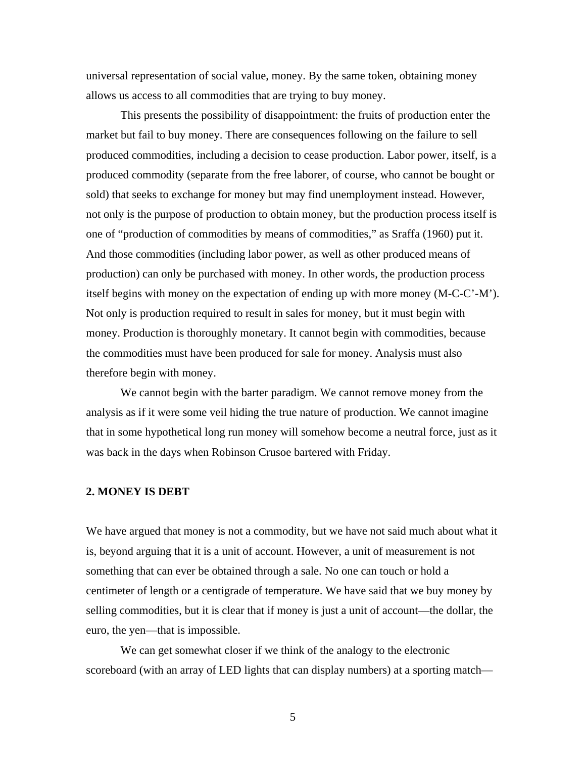universal representation of social value, money. By the same token, obtaining money allows us access to all commodities that are trying to buy money.

This presents the possibility of disappointment: the fruits of production enter the market but fail to buy money. There are consequences following on the failure to sell produced commodities, including a decision to cease production. Labor power, itself, is a produced commodity (separate from the free laborer, of course, who cannot be bought or sold) that seeks to exchange for money but may find unemployment instead. However, not only is the purpose of production to obtain money, but the production process itself is one of "production of commodities by means of commodities," as Sraffa (1960) put it. And those commodities (including labor power, as well as other produced means of production) can only be purchased with money. In other words, the production process itself begins with money on the expectation of ending up with more money (M-C-C'-M'). Not only is production required to result in sales for money, but it must begin with money. Production is thoroughly monetary. It cannot begin with commodities, because the commodities must have been produced for sale for money. Analysis must also therefore begin with money.

We cannot begin with the barter paradigm. We cannot remove money from the analysis as if it were some veil hiding the true nature of production. We cannot imagine that in some hypothetical long run money will somehow become a neutral force, just as it was back in the days when Robinson Crusoe bartered with Friday.

## **2. MONEY IS DEBT**

We have argued that money is not a commodity, but we have not said much about what it is, beyond arguing that it is a unit of account. However, a unit of measurement is not something that can ever be obtained through a sale. No one can touch or hold a centimeter of length or a centigrade of temperature. We have said that we buy money by selling commodities, but it is clear that if money is just a unit of account—the dollar, the euro, the yen—that is impossible.

We can get somewhat closer if we think of the analogy to the electronic scoreboard (with an array of LED lights that can display numbers) at a sporting match—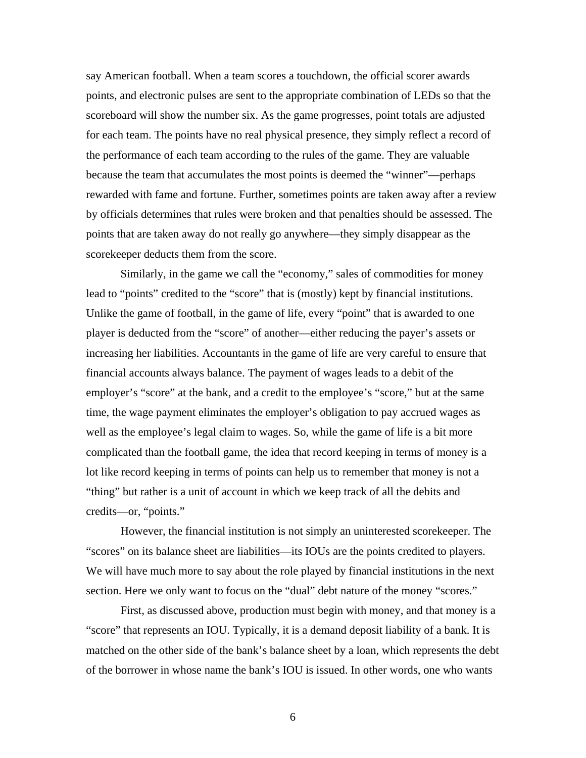say American football. When a team scores a touchdown, the official scorer awards points, and electronic pulses are sent to the appropriate combination of LEDs so that the scoreboard will show the number six. As the game progresses, point totals are adjusted for each team. The points have no real physical presence, they simply reflect a record of the performance of each team according to the rules of the game. They are valuable because the team that accumulates the most points is deemed the "winner"—perhaps rewarded with fame and fortune. Further, sometimes points are taken away after a review by officials determines that rules were broken and that penalties should be assessed. The points that are taken away do not really go anywhere—they simply disappear as the scorekeeper deducts them from the score.

Similarly, in the game we call the "economy," sales of commodities for money lead to "points" credited to the "score" that is (mostly) kept by financial institutions. Unlike the game of football, in the game of life, every "point" that is awarded to one player is deducted from the "score" of another—either reducing the payer's assets or increasing her liabilities. Accountants in the game of life are very careful to ensure that financial accounts always balance. The payment of wages leads to a debit of the employer's "score" at the bank, and a credit to the employee's "score," but at the same time, the wage payment eliminates the employer's obligation to pay accrued wages as well as the employee's legal claim to wages. So, while the game of life is a bit more complicated than the football game, the idea that record keeping in terms of money is a lot like record keeping in terms of points can help us to remember that money is not a "thing" but rather is a unit of account in which we keep track of all the debits and credits—or, "points."

However, the financial institution is not simply an uninterested scorekeeper. The "scores" on its balance sheet are liabilities—its IOUs are the points credited to players. We will have much more to say about the role played by financial institutions in the next section. Here we only want to focus on the "dual" debt nature of the money "scores."

First, as discussed above, production must begin with money, and that money is a "score" that represents an IOU. Typically, it is a demand deposit liability of a bank. It is matched on the other side of the bank's balance sheet by a loan, which represents the debt of the borrower in whose name the bank's IOU is issued. In other words, one who wants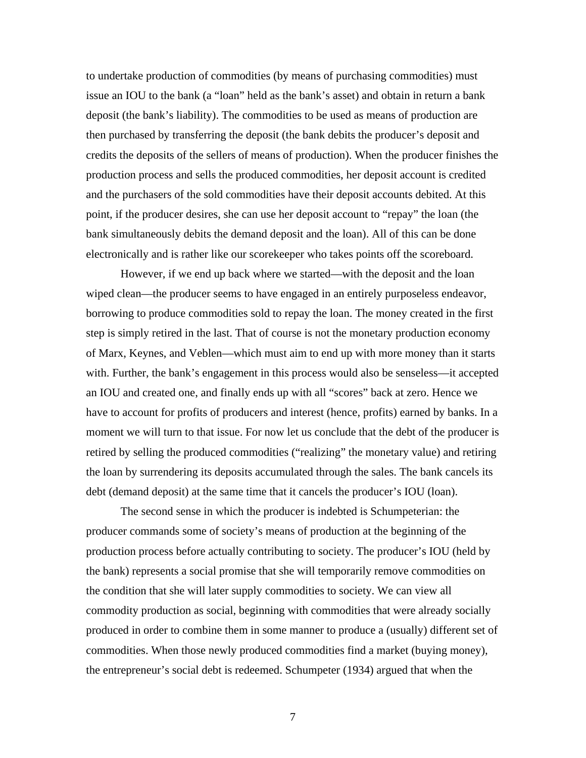to undertake production of commodities (by means of purchasing commodities) must issue an IOU to the bank (a "loan" held as the bank's asset) and obtain in return a bank deposit (the bank's liability). The commodities to be used as means of production are then purchased by transferring the deposit (the bank debits the producer's deposit and credits the deposits of the sellers of means of production). When the producer finishes the production process and sells the produced commodities, her deposit account is credited and the purchasers of the sold commodities have their deposit accounts debited. At this point, if the producer desires, she can use her deposit account to "repay" the loan (the bank simultaneously debits the demand deposit and the loan). All of this can be done electronically and is rather like our scorekeeper who takes points off the scoreboard.

However, if we end up back where we started—with the deposit and the loan wiped clean—the producer seems to have engaged in an entirely purposeless endeavor, borrowing to produce commodities sold to repay the loan. The money created in the first step is simply retired in the last. That of course is not the monetary production economy of Marx, Keynes, and Veblen—which must aim to end up with more money than it starts with. Further, the bank's engagement in this process would also be senseless—it accepted an IOU and created one, and finally ends up with all "scores" back at zero. Hence we have to account for profits of producers and interest (hence, profits) earned by banks. In a moment we will turn to that issue. For now let us conclude that the debt of the producer is retired by selling the produced commodities ("realizing" the monetary value) and retiring the loan by surrendering its deposits accumulated through the sales. The bank cancels its debt (demand deposit) at the same time that it cancels the producer's IOU (loan).

The second sense in which the producer is indebted is Schumpeterian: the producer commands some of society's means of production at the beginning of the production process before actually contributing to society. The producer's IOU (held by the bank) represents a social promise that she will temporarily remove commodities on the condition that she will later supply commodities to society. We can view all commodity production as social, beginning with commodities that were already socially produced in order to combine them in some manner to produce a (usually) different set of commodities. When those newly produced commodities find a market (buying money), the entrepreneur's social debt is redeemed. Schumpeter (1934) argued that when the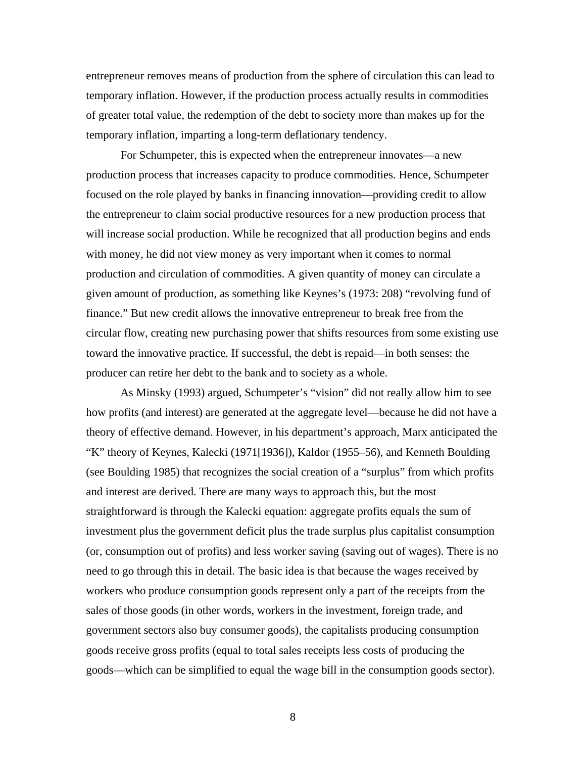entrepreneur removes means of production from the sphere of circulation this can lead to temporary inflation. However, if the production process actually results in commodities of greater total value, the redemption of the debt to society more than makes up for the temporary inflation, imparting a long-term deflationary tendency.

For Schumpeter, this is expected when the entrepreneur innovates—a new production process that increases capacity to produce commodities. Hence, Schumpeter focused on the role played by banks in financing innovation—providing credit to allow the entrepreneur to claim social productive resources for a new production process that will increase social production. While he recognized that all production begins and ends with money, he did not view money as very important when it comes to normal production and circulation of commodities. A given quantity of money can circulate a given amount of production, as something like Keynes's (1973: 208) "revolving fund of finance." But new credit allows the innovative entrepreneur to break free from the circular flow, creating new purchasing power that shifts resources from some existing use toward the innovative practice. If successful, the debt is repaid—in both senses: the producer can retire her debt to the bank and to society as a whole.

As Minsky (1993) argued, Schumpeter's "vision" did not really allow him to see how profits (and interest) are generated at the aggregate level—because he did not have a theory of effective demand. However, in his department's approach, Marx anticipated the "K" theory of Keynes, Kalecki (1971[1936]), Kaldor (1955–56), and Kenneth Boulding (see Boulding 1985) that recognizes the social creation of a "surplus" from which profits and interest are derived. There are many ways to approach this, but the most straightforward is through the Kalecki equation: aggregate profits equals the sum of investment plus the government deficit plus the trade surplus plus capitalist consumption (or, consumption out of profits) and less worker saving (saving out of wages). There is no need to go through this in detail. The basic idea is that because the wages received by workers who produce consumption goods represent only a part of the receipts from the sales of those goods (in other words, workers in the investment, foreign trade, and government sectors also buy consumer goods), the capitalists producing consumption goods receive gross profits (equal to total sales receipts less costs of producing the goods—which can be simplified to equal the wage bill in the consumption goods sector).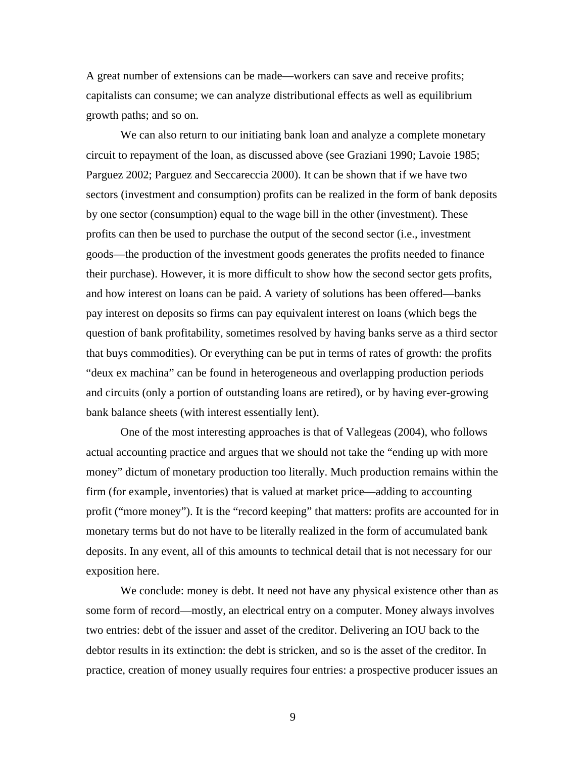A great number of extensions can be made—workers can save and receive profits; capitalists can consume; we can analyze distributional effects as well as equilibrium growth paths; and so on.

We can also return to our initiating bank loan and analyze a complete monetary circuit to repayment of the loan, as discussed above (see Graziani 1990; Lavoie 1985; Parguez 2002; Parguez and Seccareccia 2000). It can be shown that if we have two sectors (investment and consumption) profits can be realized in the form of bank deposits by one sector (consumption) equal to the wage bill in the other (investment). These profits can then be used to purchase the output of the second sector (i.e., investment goods—the production of the investment goods generates the profits needed to finance their purchase). However, it is more difficult to show how the second sector gets profits, and how interest on loans can be paid. A variety of solutions has been offered—banks pay interest on deposits so firms can pay equivalent interest on loans (which begs the question of bank profitability, sometimes resolved by having banks serve as a third sector that buys commodities). Or everything can be put in terms of rates of growth: the profits "deux ex machina" can be found in heterogeneous and overlapping production periods and circuits (only a portion of outstanding loans are retired), or by having ever-growing bank balance sheets (with interest essentially lent).

One of the most interesting approaches is that of Vallegeas (2004), who follows actual accounting practice and argues that we should not take the "ending up with more money" dictum of monetary production too literally. Much production remains within the firm (for example, inventories) that is valued at market price—adding to accounting profit ("more money"). It is the "record keeping" that matters: profits are accounted for in monetary terms but do not have to be literally realized in the form of accumulated bank deposits. In any event, all of this amounts to technical detail that is not necessary for our exposition here.

We conclude: money is debt. It need not have any physical existence other than as some form of record—mostly, an electrical entry on a computer. Money always involves two entries: debt of the issuer and asset of the creditor. Delivering an IOU back to the debtor results in its extinction: the debt is stricken, and so is the asset of the creditor. In practice, creation of money usually requires four entries: a prospective producer issues an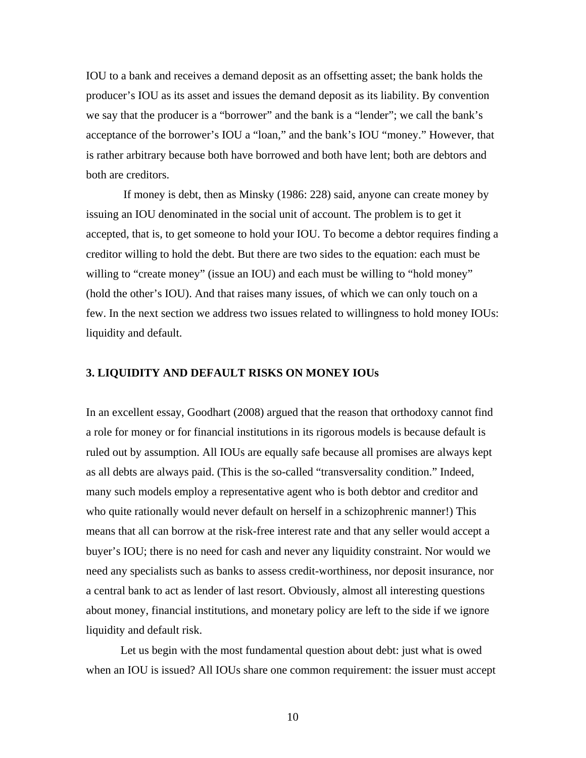IOU to a bank and receives a demand deposit as an offsetting asset; the bank holds the producer's IOU as its asset and issues the demand deposit as its liability. By convention we say that the producer is a "borrower" and the bank is a "lender"; we call the bank's acceptance of the borrower's IOU a "loan," and the bank's IOU "money." However, that is rather arbitrary because both have borrowed and both have lent; both are debtors and both are creditors.

 If money is debt, then as Minsky (1986: 228) said, anyone can create money by issuing an IOU denominated in the social unit of account. The problem is to get it accepted, that is, to get someone to hold your IOU. To become a debtor requires finding a creditor willing to hold the debt. But there are two sides to the equation: each must be willing to "create money" (issue an IOU) and each must be willing to "hold money" (hold the other's IOU). And that raises many issues, of which we can only touch on a few. In the next section we address two issues related to willingness to hold money IOUs: liquidity and default.

## **3. LIQUIDITY AND DEFAULT RISKS ON MONEY IOUs**

In an excellent essay, Goodhart (2008) argued that the reason that orthodoxy cannot find a role for money or for financial institutions in its rigorous models is because default is ruled out by assumption. All IOUs are equally safe because all promises are always kept as all debts are always paid. (This is the so-called "transversality condition." Indeed, many such models employ a representative agent who is both debtor and creditor and who quite rationally would never default on herself in a schizophrenic manner!) This means that all can borrow at the risk-free interest rate and that any seller would accept a buyer's IOU; there is no need for cash and never any liquidity constraint. Nor would we need any specialists such as banks to assess credit-worthiness, nor deposit insurance, nor a central bank to act as lender of last resort. Obviously, almost all interesting questions about money, financial institutions, and monetary policy are left to the side if we ignore liquidity and default risk.

Let us begin with the most fundamental question about debt: just what is owed when an IOU is issued? All IOUs share one common requirement: the issuer must accept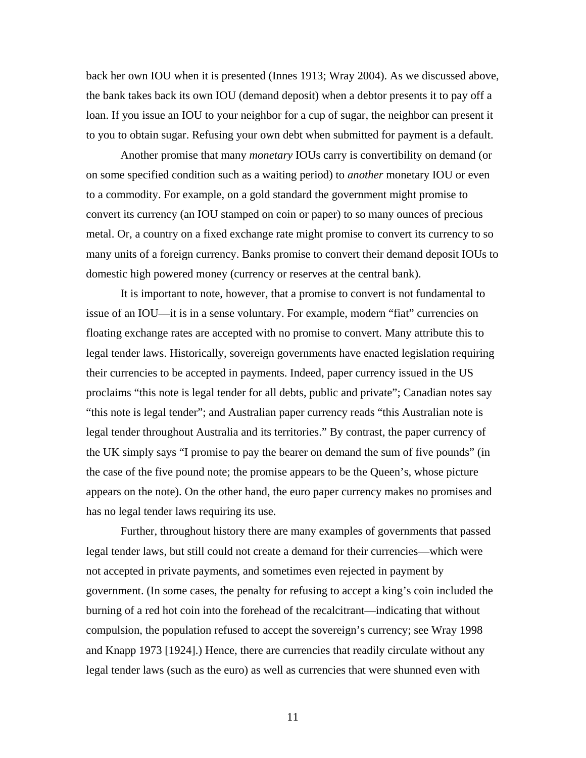back her own IOU when it is presented (Innes 1913; Wray 2004). As we discussed above, the bank takes back its own IOU (demand deposit) when a debtor presents it to pay off a loan. If you issue an IOU to your neighbor for a cup of sugar, the neighbor can present it to you to obtain sugar. Refusing your own debt when submitted for payment is a default.

Another promise that many *monetary* IOUs carry is convertibility on demand (or on some specified condition such as a waiting period) to *another* monetary IOU or even to a commodity. For example, on a gold standard the government might promise to convert its currency (an IOU stamped on coin or paper) to so many ounces of precious metal. Or, a country on a fixed exchange rate might promise to convert its currency to so many units of a foreign currency. Banks promise to convert their demand deposit IOUs to domestic high powered money (currency or reserves at the central bank).

It is important to note, however, that a promise to convert is not fundamental to issue of an IOU—it is in a sense voluntary. For example, modern "fiat" currencies on floating exchange rates are accepted with no promise to convert. Many attribute this to legal tender laws. Historically, sovereign governments have enacted legislation requiring their currencies to be accepted in payments. Indeed, paper currency issued in the US proclaims "this note is legal tender for all debts, public and private"; Canadian notes say "this note is legal tender"; and Australian paper currency reads "this Australian note is legal tender throughout Australia and its territories." By contrast, the paper currency of the UK simply says "I promise to pay the bearer on demand the sum of five pounds" (in the case of the five pound note; the promise appears to be the Queen's, whose picture appears on the note). On the other hand, the euro paper currency makes no promises and has no legal tender laws requiring its use.

Further, throughout history there are many examples of governments that passed legal tender laws, but still could not create a demand for their currencies—which were not accepted in private payments, and sometimes even rejected in payment by government. (In some cases, the penalty for refusing to accept a king's coin included the burning of a red hot coin into the forehead of the recalcitrant—indicating that without compulsion, the population refused to accept the sovereign's currency; see Wray 1998 and Knapp 1973 [1924].) Hence, there are currencies that readily circulate without any legal tender laws (such as the euro) as well as currencies that were shunned even with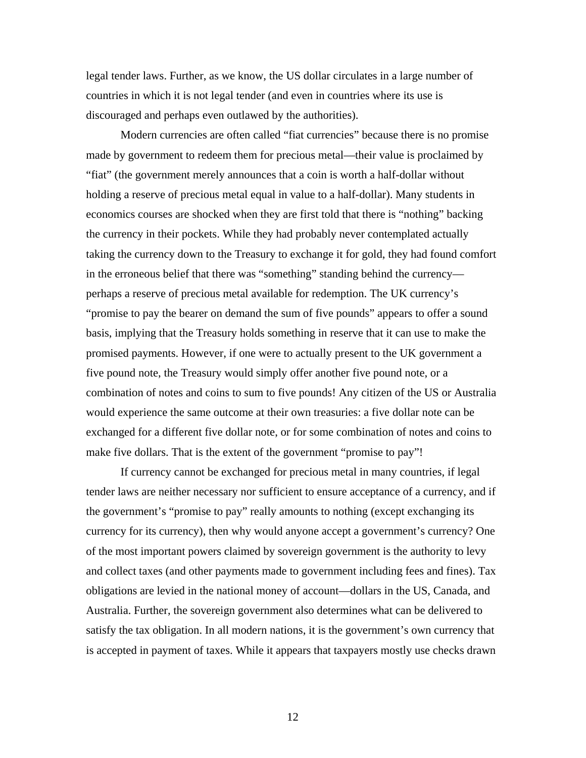legal tender laws. Further, as we know, the US dollar circulates in a large number of countries in which it is not legal tender (and even in countries where its use is discouraged and perhaps even outlawed by the authorities).

Modern currencies are often called "fiat currencies" because there is no promise made by government to redeem them for precious metal—their value is proclaimed by "fiat" (the government merely announces that a coin is worth a half-dollar without holding a reserve of precious metal equal in value to a half-dollar). Many students in economics courses are shocked when they are first told that there is "nothing" backing the currency in their pockets. While they had probably never contemplated actually taking the currency down to the Treasury to exchange it for gold, they had found comfort in the erroneous belief that there was "something" standing behind the currency perhaps a reserve of precious metal available for redemption. The UK currency's "promise to pay the bearer on demand the sum of five pounds" appears to offer a sound basis, implying that the Treasury holds something in reserve that it can use to make the promised payments. However, if one were to actually present to the UK government a five pound note, the Treasury would simply offer another five pound note, or a combination of notes and coins to sum to five pounds! Any citizen of the US or Australia would experience the same outcome at their own treasuries: a five dollar note can be exchanged for a different five dollar note, or for some combination of notes and coins to make five dollars. That is the extent of the government "promise to pay"!

If currency cannot be exchanged for precious metal in many countries, if legal tender laws are neither necessary nor sufficient to ensure acceptance of a currency, and if the government's "promise to pay" really amounts to nothing (except exchanging its currency for its currency), then why would anyone accept a government's currency? One of the most important powers claimed by sovereign government is the authority to levy and collect taxes (and other payments made to government including fees and fines). Tax obligations are levied in the national money of account—dollars in the US, Canada, and Australia. Further, the sovereign government also determines what can be delivered to satisfy the tax obligation. In all modern nations, it is the government's own currency that is accepted in payment of taxes. While it appears that taxpayers mostly use checks drawn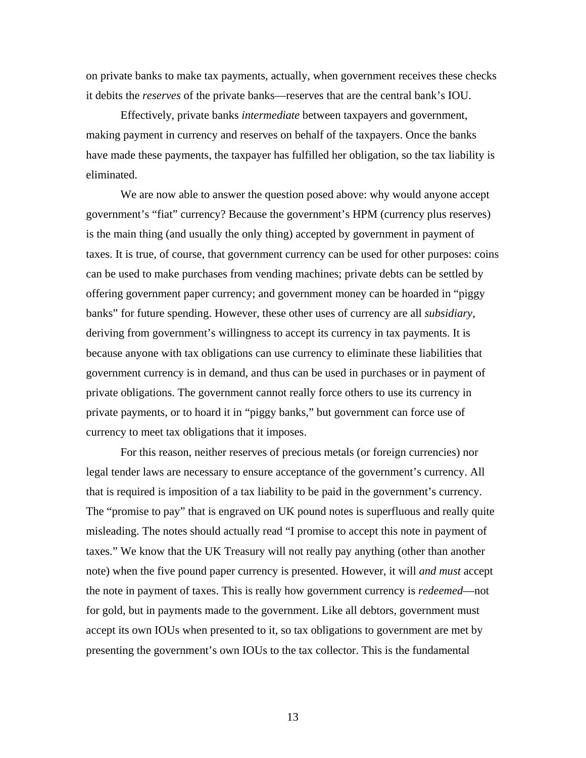on private banks to make tax payments, actually, when government receives these checks it debits the *reserves* of the private banks—reserves that are the central bank's IOU.

Effectively, private banks *intermediate* between taxpayers and government, making payment in currency and reserves on behalf of the taxpayers. Once the banks have made these payments, the taxpayer has fulfilled her obligation, so the tax liability is eliminated.

We are now able to answer the question posed above: why would anyone accept government's "fiat" currency? Because the government's HPM (currency plus reserves) is the main thing (and usually the only thing) accepted by government in payment of taxes. It is true, of course, that government currency can be used for other purposes: coins can be used to make purchases from vending machines; private debts can be settled by offering government paper currency; and government money can be hoarded in "piggy banks" for future spending. However, these other uses of currency are all *subsidiary*, deriving from government's willingness to accept its currency in tax payments. It is because anyone with tax obligations can use currency to eliminate these liabilities that government currency is in demand, and thus can be used in purchases or in payment of private obligations. The government cannot really force others to use its currency in private payments, or to hoard it in "piggy banks," but government can force use of currency to meet tax obligations that it imposes.

For this reason, neither reserves of precious metals (or foreign currencies) nor legal tender laws are necessary to ensure acceptance of the government's currency. All that is required is imposition of a tax liability to be paid in the government's currency. The "promise to pay" that is engraved on UK pound notes is superfluous and really quite misleading. The notes should actually read "I promise to accept this note in payment of taxes." We know that the UK Treasury will not really pay anything (other than another note) when the five pound paper currency is presented. However, it will *and must* accept the note in payment of taxes. This is really how government currency is *redeemed*—not for gold, but in payments made to the government. Like all debtors, government must accept its own IOUs when presented to it, so tax obligations to government are met by presenting the government's own IOUs to the tax collector. This is the fundamental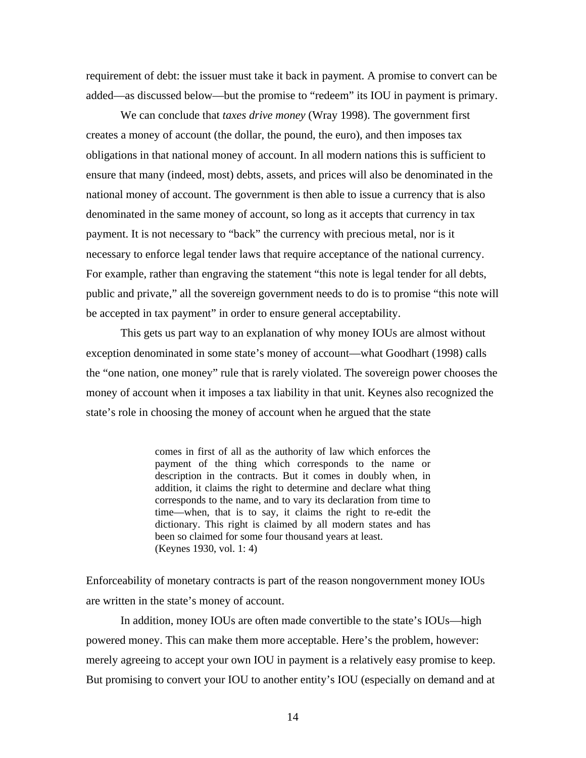requirement of debt: the issuer must take it back in payment. A promise to convert can be added—as discussed below—but the promise to "redeem" its IOU in payment is primary.

We can conclude that *taxes drive money* (Wray 1998). The government first creates a money of account (the dollar, the pound, the euro), and then imposes tax obligations in that national money of account. In all modern nations this is sufficient to ensure that many (indeed, most) debts, assets, and prices will also be denominated in the national money of account. The government is then able to issue a currency that is also denominated in the same money of account, so long as it accepts that currency in tax payment. It is not necessary to "back" the currency with precious metal, nor is it necessary to enforce legal tender laws that require acceptance of the national currency. For example, rather than engraving the statement "this note is legal tender for all debts, public and private," all the sovereign government needs to do is to promise "this note will be accepted in tax payment" in order to ensure general acceptability.

This gets us part way to an explanation of why money IOUs are almost without exception denominated in some state's money of account—what Goodhart (1998) calls the "one nation, one money" rule that is rarely violated. The sovereign power chooses the money of account when it imposes a tax liability in that unit. Keynes also recognized the state's role in choosing the money of account when he argued that the state

> comes in first of all as the authority of law which enforces the payment of the thing which corresponds to the name or description in the contracts. But it comes in doubly when, in addition, it claims the right to determine and declare what thing corresponds to the name, and to vary its declaration from time to time—when, that is to say, it claims the right to re-edit the dictionary. This right is claimed by all modern states and has been so claimed for some four thousand years at least. (Keynes 1930, vol. 1: 4)

Enforceability of monetary contracts is part of the reason nongovernment money IOUs are written in the state's money of account.

In addition, money IOUs are often made convertible to the state's IOUs—high powered money. This can make them more acceptable. Here's the problem, however: merely agreeing to accept your own IOU in payment is a relatively easy promise to keep. But promising to convert your IOU to another entity's IOU (especially on demand and at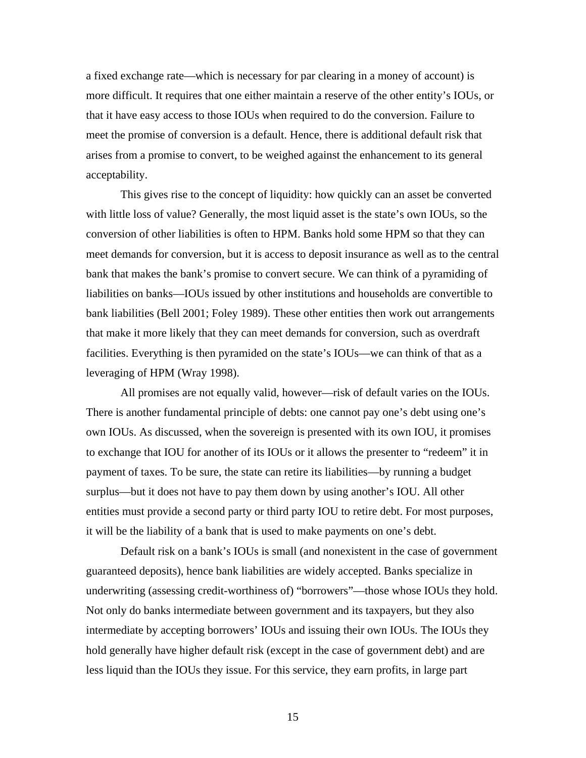a fixed exchange rate—which is necessary for par clearing in a money of account) is more difficult. It requires that one either maintain a reserve of the other entity's IOUs, or that it have easy access to those IOUs when required to do the conversion. Failure to meet the promise of conversion is a default. Hence, there is additional default risk that arises from a promise to convert, to be weighed against the enhancement to its general acceptability.

This gives rise to the concept of liquidity: how quickly can an asset be converted with little loss of value? Generally, the most liquid asset is the state's own IOUs, so the conversion of other liabilities is often to HPM. Banks hold some HPM so that they can meet demands for conversion, but it is access to deposit insurance as well as to the central bank that makes the bank's promise to convert secure. We can think of a pyramiding of liabilities on banks—IOUs issued by other institutions and households are convertible to bank liabilities (Bell 2001; Foley 1989). These other entities then work out arrangements that make it more likely that they can meet demands for conversion, such as overdraft facilities. Everything is then pyramided on the state's IOUs—we can think of that as a leveraging of HPM (Wray 1998).

All promises are not equally valid, however—risk of default varies on the IOUs. There is another fundamental principle of debts: one cannot pay one's debt using one's own IOUs. As discussed, when the sovereign is presented with its own IOU, it promises to exchange that IOU for another of its IOUs or it allows the presenter to "redeem" it in payment of taxes. To be sure, the state can retire its liabilities—by running a budget surplus—but it does not have to pay them down by using another's IOU. All other entities must provide a second party or third party IOU to retire debt. For most purposes, it will be the liability of a bank that is used to make payments on one's debt.

Default risk on a bank's IOUs is small (and nonexistent in the case of government guaranteed deposits), hence bank liabilities are widely accepted. Banks specialize in underwriting (assessing credit-worthiness of) "borrowers"—those whose IOUs they hold. Not only do banks intermediate between government and its taxpayers, but they also intermediate by accepting borrowers' IOUs and issuing their own IOUs. The IOUs they hold generally have higher default risk (except in the case of government debt) and are less liquid than the IOUs they issue. For this service, they earn profits, in large part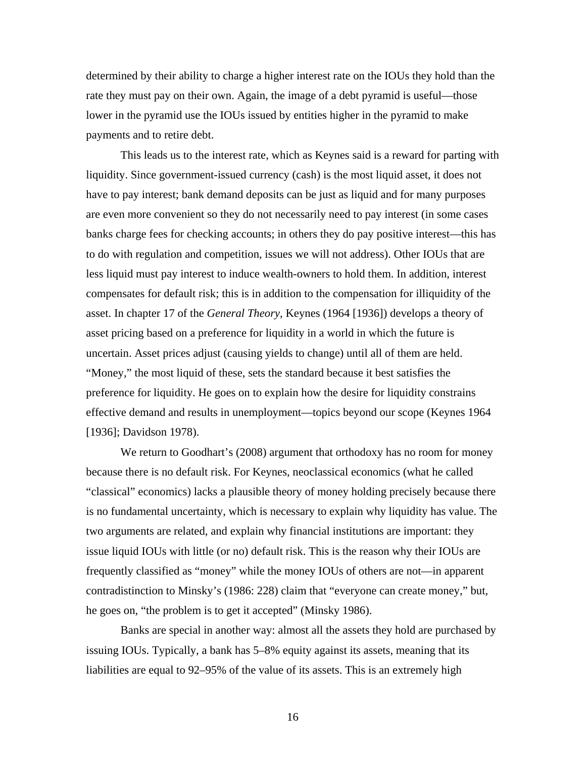determined by their ability to charge a higher interest rate on the IOUs they hold than the rate they must pay on their own. Again, the image of a debt pyramid is useful—those lower in the pyramid use the IOUs issued by entities higher in the pyramid to make payments and to retire debt.

This leads us to the interest rate, which as Keynes said is a reward for parting with liquidity. Since government-issued currency (cash) is the most liquid asset, it does not have to pay interest; bank demand deposits can be just as liquid and for many purposes are even more convenient so they do not necessarily need to pay interest (in some cases banks charge fees for checking accounts; in others they do pay positive interest—this has to do with regulation and competition, issues we will not address). Other IOUs that are less liquid must pay interest to induce wealth-owners to hold them. In addition, interest compensates for default risk; this is in addition to the compensation for illiquidity of the asset. In chapter 17 of the *General Theory,* Keynes (1964 [1936]) develops a theory of asset pricing based on a preference for liquidity in a world in which the future is uncertain. Asset prices adjust (causing yields to change) until all of them are held. "Money," the most liquid of these, sets the standard because it best satisfies the preference for liquidity. He goes on to explain how the desire for liquidity constrains effective demand and results in unemployment—topics beyond our scope (Keynes 1964 [1936]; Davidson 1978).

We return to Goodhart's (2008) argument that orthodoxy has no room for money because there is no default risk. For Keynes, neoclassical economics (what he called "classical" economics) lacks a plausible theory of money holding precisely because there is no fundamental uncertainty, which is necessary to explain why liquidity has value. The two arguments are related, and explain why financial institutions are important: they issue liquid IOUs with little (or no) default risk. This is the reason why their IOUs are frequently classified as "money" while the money IOUs of others are not—in apparent contradistinction to Minsky's (1986: 228) claim that "everyone can create money," but, he goes on, "the problem is to get it accepted" (Minsky 1986).

Banks are special in another way: almost all the assets they hold are purchased by issuing IOUs. Typically, a bank has 5–8% equity against its assets, meaning that its liabilities are equal to 92–95% of the value of its assets. This is an extremely high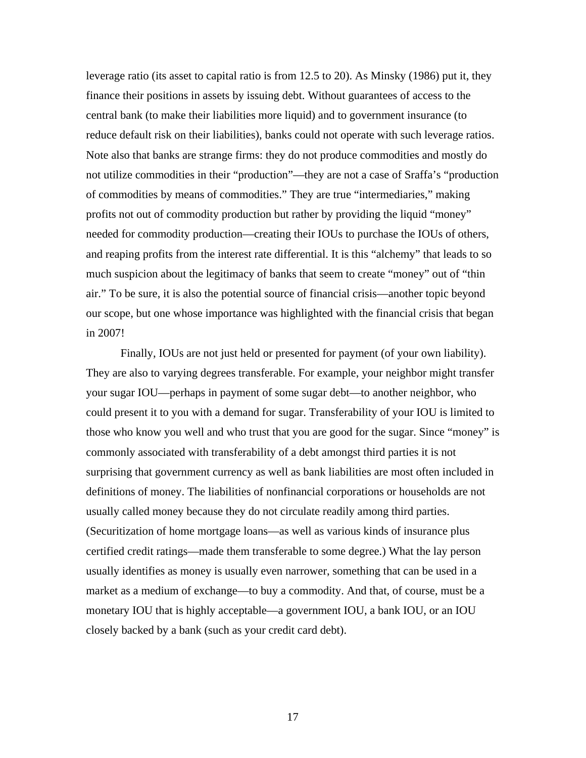leverage ratio (its asset to capital ratio is from 12.5 to 20). As Minsky (1986) put it, they finance their positions in assets by issuing debt. Without guarantees of access to the central bank (to make their liabilities more liquid) and to government insurance (to reduce default risk on their liabilities), banks could not operate with such leverage ratios. Note also that banks are strange firms: they do not produce commodities and mostly do not utilize commodities in their "production"—they are not a case of Sraffa's "production of commodities by means of commodities." They are true "intermediaries," making profits not out of commodity production but rather by providing the liquid "money" needed for commodity production—creating their IOUs to purchase the IOUs of others, and reaping profits from the interest rate differential. It is this "alchemy" that leads to so much suspicion about the legitimacy of banks that seem to create "money" out of "thin air." To be sure, it is also the potential source of financial crisis—another topic beyond our scope, but one whose importance was highlighted with the financial crisis that began in 2007!

Finally, IOUs are not just held or presented for payment (of your own liability). They are also to varying degrees transferable. For example, your neighbor might transfer your sugar IOU—perhaps in payment of some sugar debt—to another neighbor, who could present it to you with a demand for sugar. Transferability of your IOU is limited to those who know you well and who trust that you are good for the sugar. Since "money" is commonly associated with transferability of a debt amongst third parties it is not surprising that government currency as well as bank liabilities are most often included in definitions of money. The liabilities of nonfinancial corporations or households are not usually called money because they do not circulate readily among third parties. (Securitization of home mortgage loans—as well as various kinds of insurance plus certified credit ratings—made them transferable to some degree.) What the lay person usually identifies as money is usually even narrower, something that can be used in a market as a medium of exchange—to buy a commodity. And that, of course, must be a monetary IOU that is highly acceptable—a government IOU, a bank IOU, or an IOU closely backed by a bank (such as your credit card debt).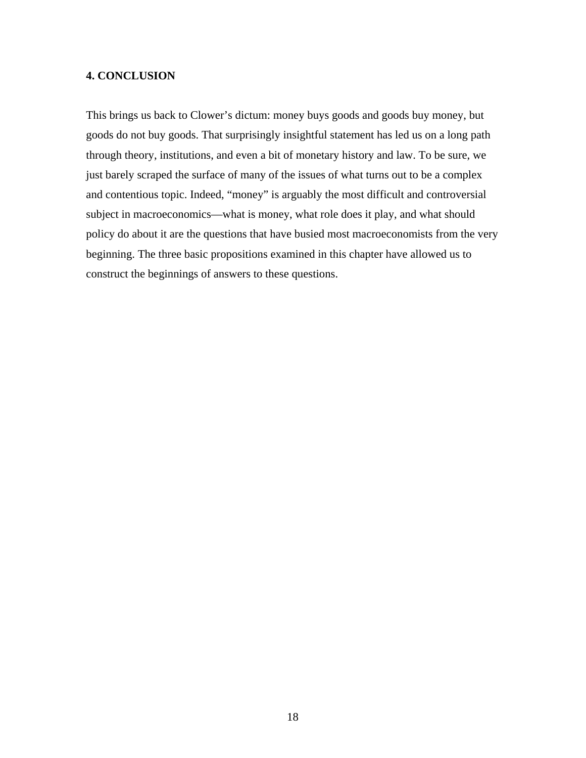## **4. CONCLUSION**

This brings us back to Clower's dictum: money buys goods and goods buy money, but goods do not buy goods. That surprisingly insightful statement has led us on a long path through theory, institutions, and even a bit of monetary history and law. To be sure, we just barely scraped the surface of many of the issues of what turns out to be a complex and contentious topic. Indeed, "money" is arguably the most difficult and controversial subject in macroeconomics—what is money, what role does it play, and what should policy do about it are the questions that have busied most macroeconomists from the very beginning. The three basic propositions examined in this chapter have allowed us to construct the beginnings of answers to these questions.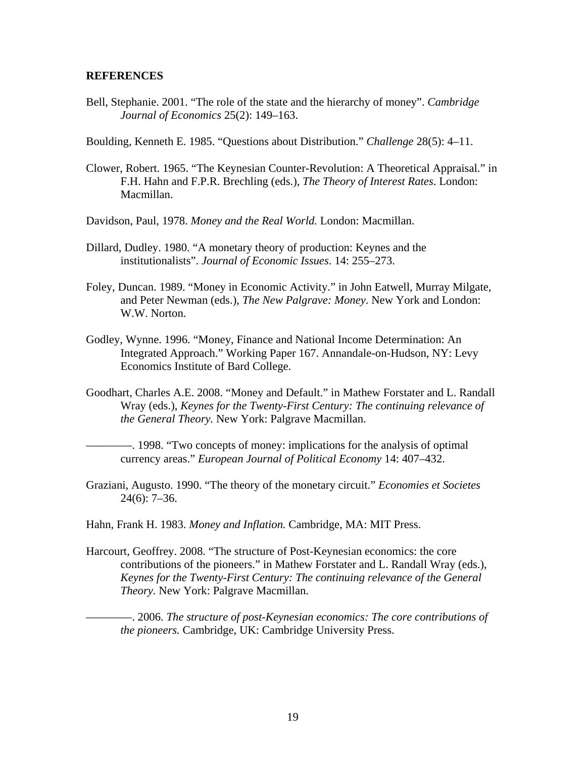#### **REFERENCES**

Bell, Stephanie. 2001. "The role of the state and the hierarchy of money". *Cambridge Journal of Economics* 25(2): 149–163.

Boulding, Kenneth E. 1985. "Questions about Distribution." *Challenge* 28(5): 4–11.

Clower, Robert. 1965. "The Keynesian Counter-Revolution: A Theoretical Appraisal." in F.H. Hahn and F.P.R. Brechling (eds.), *The Theory of Interest Rates*. London: Macmillan.

Davidson, Paul, 1978. *Money and the Real World.* London: Macmillan.

- Dillard, Dudley. 1980. "A monetary theory of production: Keynes and the institutionalists". *Journal of Economic Issues*. 14: 255–273.
- Foley, Duncan. 1989. "Money in Economic Activity." in John Eatwell, Murray Milgate, and Peter Newman (eds.), *The New Palgrave: Money*. New York and London: W.W. Norton.
- Godley, Wynne. 1996. "Money, Finance and National Income Determination: An Integrated Approach." Working Paper 167. Annandale-on-Hudson, NY: Levy Economics Institute of Bard College.
- Goodhart, Charles A.E. 2008. "Money and Default." in Mathew Forstater and L. Randall Wray (eds.), *Keynes for the Twenty-First Century: The continuing relevance of the General Theory.* New York: Palgrave Macmillan.
- ————. 1998. "Two concepts of money: implications for the analysis of optimal currency areas." *European Journal of Political Economy* 14: 407–432.
- Graziani, Augusto. 1990. "The theory of the monetary circuit." *Economies et Societes* 24(6): 7–36.

Hahn, Frank H. 1983. *Money and Inflation.* Cambridge, MA: MIT Press.

Harcourt, Geoffrey. 2008. "The structure of Post-Keynesian economics: the core contributions of the pioneers." in Mathew Forstater and L. Randall Wray (eds.), *Keynes for the Twenty-First Century: The continuing relevance of the General Theory.* New York: Palgrave Macmillan.

————. 2006. *The structure of post-Keynesian economics: The core contributions of the pioneers.* Cambridge, UK: Cambridge University Press.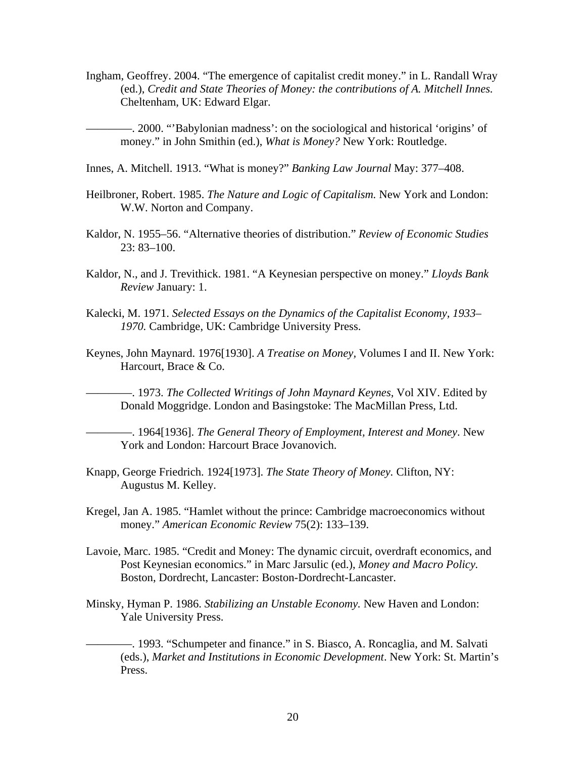Ingham, Geoffrey. 2004. "The emergence of capitalist credit money." in L. Randall Wray (ed.), *Credit and State Theories of Money: the contributions of A. Mitchell Innes.* Cheltenham, UK: Edward Elgar.

————. 2000. "'Babylonian madness': on the sociological and historical 'origins' of money." in John Smithin (ed.), *What is Money?* New York: Routledge.

Innes, A. Mitchell. 1913. "What is money?" *Banking Law Journal* May: 377–408.

- Heilbroner, Robert. 1985. *The Nature and Logic of Capitalism.* New York and London: W.W. Norton and Company.
- Kaldor, N. 1955–56. "Alternative theories of distribution." *Review of Economic Studies* 23: 83–100.
- Kaldor, N., and J. Trevithick. 1981. "A Keynesian perspective on money." *Lloyds Bank Review* January: 1.
- Kalecki, M. 1971. *Selected Essays on the Dynamics of the Capitalist Economy, 1933– 1970.* Cambridge, UK: Cambridge University Press.
- Keynes, John Maynard. 1976[1930]. *A Treatise on Money,* Volumes I and II. New York: Harcourt, Brace & Co.

————. 1973. *The Collected Writings of John Maynard Keynes,* Vol XIV. Edited by Donald Moggridge. London and Basingstoke: The MacMillan Press, Ltd.

————. 1964[1936]. *The General Theory of Employment, Interest and Money*. New York and London: Harcourt Brace Jovanovich.

- Knapp, George Friedrich. 1924[1973]. *The State Theory of Money.* Clifton, NY: Augustus M. Kelley.
- Kregel, Jan A. 1985. "Hamlet without the prince: Cambridge macroeconomics without money." *American Economic Review* 75(2): 133–139.
- Lavoie, Marc. 1985. "Credit and Money: The dynamic circuit, overdraft economics, and Post Keynesian economics." in Marc Jarsulic (ed.), *Money and Macro Policy.* Boston, Dordrecht, Lancaster: Boston-Dordrecht-Lancaster.
- Minsky, Hyman P. 1986. *Stabilizing an Unstable Economy.* New Haven and London: Yale University Press.

————. 1993. "Schumpeter and finance." in S. Biasco, A. Roncaglia, and M. Salvati (eds.), *Market and Institutions in Economic Development*. New York: St. Martin's Press.